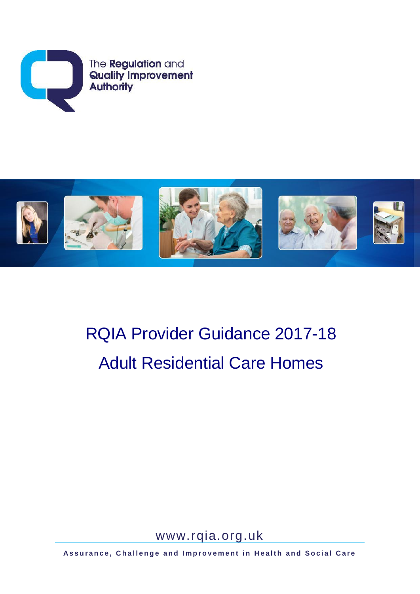



# RQIA Provider Guidance 2017-18 Adult Residential Care Homes

[www.rqia.org.uk](http://www.rqia.org.uk/)

Assurance, Challenge and Improvement in Health and Social Care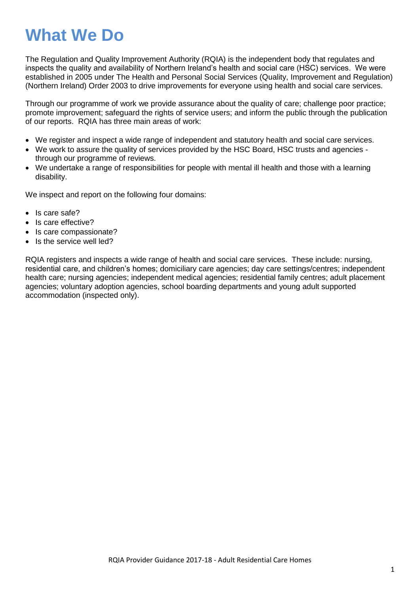## **What We Do**

The Regulation and Quality Improvement Authority (RQIA) is the independent body that regulates and inspects the quality and availability of Northern Ireland's health and social care (HSC) services. We were established in 2005 under The Health and Personal Social Services (Quality, Improvement and Regulation) (Northern Ireland) Order 2003 to drive improvements for everyone using health and social care services.

Through our programme of work we provide assurance about the quality of care; challenge poor practice; promote improvement; safeguard the rights of service users; and inform the public through the publication of our reports. RQIA has three main areas of work:

- We register and inspect a wide range of independent and statutory health and social care services.
- We work to assure the quality of services provided by the HSC Board, HSC trusts and agencies through our programme of reviews.
- We undertake a range of responsibilities for people with mental ill health and those with a learning disability.

We inspect and report on the following four domains:

- Is care safe?
- Is care effective?
- Is care compassionate?
- Is the service well led?

RQIA registers and inspects a wide range of health and social care services. These include: nursing, residential care, and children's homes; domiciliary care agencies; day care settings/centres; independent health care; nursing agencies; independent medical agencies; residential family centres; adult placement agencies; voluntary adoption agencies, school boarding departments and young adult supported accommodation (inspected only).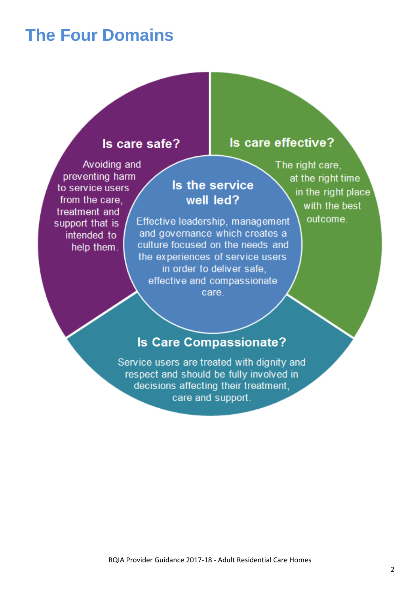## **The Four Domains**

### Is care safe?

Avoiding and preventing harm to service users from the care. treatment and support that is intended to help them.

### Is the service well led?

Effective leadership, management and governance which creates a culture focused on the needs and the experiences of service users in order to deliver safe. effective and compassionate care

The right care. at the right time in the right place with the best outcome.

Is care effective?

### **Is Care Compassionate?**

Service users are treated with dignity and respect and should be fully involved in decisions affecting their treatment, care and support.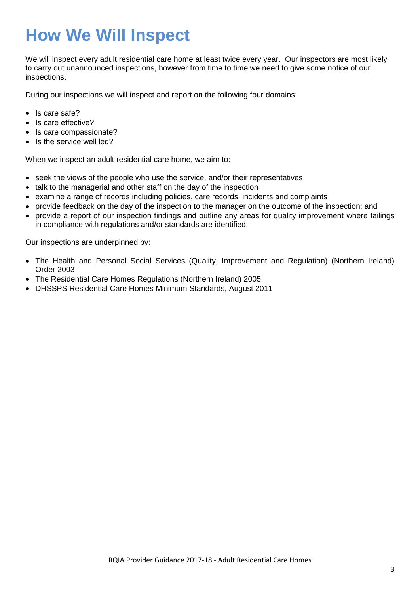## **How We Will Inspect**

We will inspect every adult residential care home at least twice every year. Our inspectors are most likely to carry out unannounced inspections, however from time to time we need to give some notice of our inspections.

During our inspections we will inspect and report on the following four domains:

- Is care safe?
- Is care effective?
- Is care compassionate?
- Is the service well led?

When we inspect an adult residential care home, we aim to:

- seek the views of the people who use the service, and/or their representatives
- talk to the managerial and other staff on the day of the inspection
- examine a range of records including policies, care records, incidents and complaints
- provide feedback on the day of the inspection to the manager on the outcome of the inspection; and
- provide a report of our inspection findings and outline any areas for quality improvement where failings in compliance with regulations and/or standards are identified.

Our inspections are underpinned by:

- The Health and Personal Social Services (Quality, Improvement and Regulation) (Northern Ireland) Order 2003
- The Residential Care Homes Regulations (Northern Ireland) 2005
- DHSSPS Residential Care Homes Minimum Standards, August 2011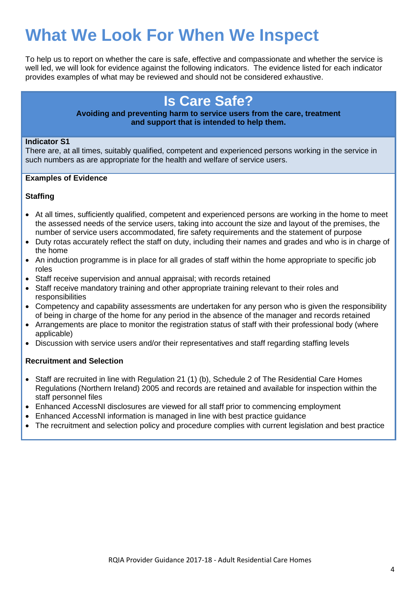## **What We Look For When We Inspect**

To help us to report on whether the care is safe, effective and compassionate and whether the service is well led, we will look for evidence against the following indicators. The evidence listed for each indicator provides examples of what may be reviewed and should not be considered exhaustive.

### **Is Care Safe?**

### **Avoiding and preventing harm to service users from the care, treatment and support that is intended to help them.**

### **Indicator S1**

There are, at all times, suitably qualified, competent and experienced persons working in the service in such numbers as are appropriate for the health and welfare of service users.

### **Examples of Evidence**

### **Staffing**

- At all times, sufficiently qualified, competent and experienced persons are working in the home to meet the assessed needs of the service users, taking into account the size and layout of the premises, the number of service users accommodated, fire safety requirements and the statement of purpose
- Duty rotas accurately reflect the staff on duty, including their names and grades and who is in charge of the home
- An induction programme is in place for all grades of staff within the home appropriate to specific job roles
- Staff receive supervision and annual appraisal; with records retained
- Staff receive mandatory training and other appropriate training relevant to their roles and responsibilities
- Competency and capability assessments are undertaken for any person who is given the responsibility of being in charge of the home for any period in the absence of the manager and records retained
- Arrangements are place to monitor the registration status of staff with their professional body (where applicable)
- Discussion with service users and/or their representatives and staff regarding staffing levels

### **Recruitment and Selection**

- Staff are recruited in line with Regulation 21 (1) (b), Schedule 2 of The Residential Care Homes Regulations (Northern Ireland) 2005 and records are retained and available for inspection within the staff personnel files
- Enhanced AccessNI disclosures are viewed for all staff prior to commencing employment
- Enhanced AccessNI information is managed in line with best practice guidance
- The recruitment and selection policy and procedure complies with current legislation and best practice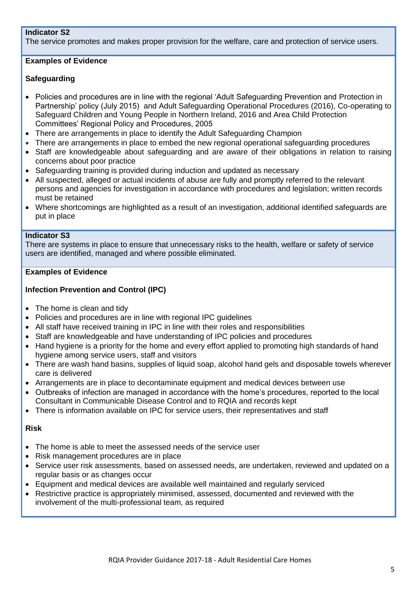### **Indicator S2**

The service promotes and makes proper provision for the welfare, care and protection of service users.

### **Examples of Evidence**

### **Safeguarding**

- Policies and procedures are in line with the regional 'Adult Safeguarding Prevention and Protection in Partnership' policy (July 2015) and Adult Safeguarding Operational Procedures (2016), Co-operating to Safeguard Children and Young People in Northern Ireland, 2016 and Area Child Protection Committees' Regional Policy and Procedures, 2005
- There are arrangements in place to identify the Adult Safeguarding Champion
- There are arrangements in place to embed the new regional operational safeguarding procedures
- Staff are knowledgeable about safeguarding and are aware of their obligations in relation to raising concerns about poor practice
- Safeguarding training is provided during induction and updated as necessary
- All suspected, alleged or actual incidents of abuse are fully and promptly referred to the relevant persons and agencies for investigation in accordance with procedures and legislation; written records must be retained
- Where shortcomings are highlighted as a result of an investigation, additional identified safeguards are put in place

### **Indicator S3**

There are systems in place to ensure that unnecessary risks to the health, welfare or safety of service users are identified, managed and where possible eliminated.

### **Examples of Evidence**

### **Infection Prevention and Control (IPC)**

- The home is clean and tidy
- Policies and procedures are in line with regional IPC guidelines
- All staff have received training in IPC in line with their roles and responsibilities
- Staff are knowledgeable and have understanding of IPC policies and procedures
- Hand hygiene is a priority for the home and every effort applied to promoting high standards of hand hygiene among service users, staff and visitors
- There are wash hand basins, supplies of liquid soap, alcohol hand gels and disposable towels wherever care is delivered
- Arrangements are in place to decontaminate equipment and medical devices between use
- Outbreaks of infection are managed in accordance with the home's procedures, reported to the local Consultant in Communicable Disease Control and to RQIA and records kept
- There is information available on IPC for service users, their representatives and staff

### **Risk**

- The home is able to meet the assessed needs of the service user
- Risk management procedures are in place
- Service user risk assessments, based on assessed needs, are undertaken, reviewed and updated on a regular basis or as changes occur
- Equipment and medical devices are available well maintained and regularly serviced
- Restrictive practice is appropriately minimised, assessed, documented and reviewed with the involvement of the multi-professional team, as required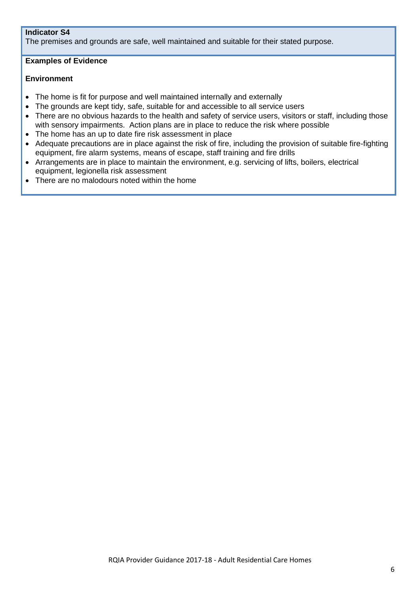### **Indicator S4**

The premises and grounds are safe, well maintained and suitable for their stated purpose.

### **Examples of Evidence**

### **Environment**

- The home is fit for purpose and well maintained internally and externally
- The grounds are kept tidy, safe, suitable for and accessible to all service users
- There are no obvious hazards to the health and safety of service users, visitors or staff, including those with sensory impairments. Action plans are in place to reduce the risk where possible
- The home has an up to date fire risk assessment in place
- Adequate precautions are in place against the risk of fire, including the provision of suitable fire-fighting equipment, fire alarm systems, means of escape, staff training and fire drills
- Arrangements are in place to maintain the environment, e.g. servicing of lifts, boilers, electrical equipment, legionella risk assessment
- There are no malodours noted within the home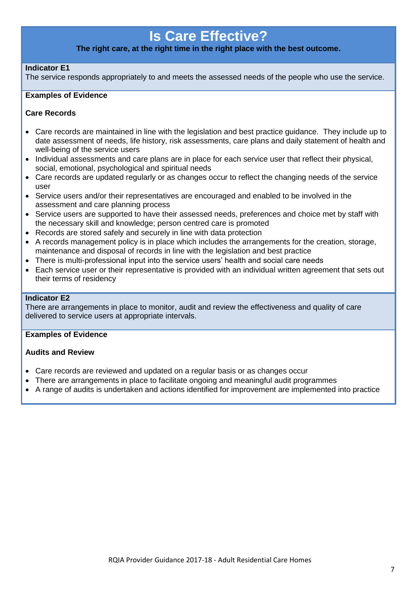### **Is Care Effective?**

### **The right care, at the right time in the right place with the best outcome.**

### **Indicator E1**

The service responds appropriately to and meets the assessed needs of the people who use the service.

#### **Examples of Evidence**

### **Care Records**

- Care records are maintained in line with the legislation and best practice guidance. They include up to date assessment of needs, life history, risk assessments, care plans and daily statement of health and well-being of the service users
- Individual assessments and care plans are in place for each service user that reflect their physical, social, emotional, psychological and spiritual needs
- Care records are updated regularly or as changes occur to reflect the changing needs of the service user
- Service users and/or their representatives are encouraged and enabled to be involved in the assessment and care planning process
- Service users are supported to have their assessed needs, preferences and choice met by staff with the necessary skill and knowledge; person centred care is promoted
- Records are stored safely and securely in line with data protection
- A records management policy is in place which includes the arrangements for the creation, storage, maintenance and disposal of records in line with the legislation and best practice
- There is multi-professional input into the service users' health and social care needs
- Each service user or their representative is provided with an individual written agreement that sets out their terms of residency

### **Indicator E2**

There are arrangements in place to monitor, audit and review the effectiveness and quality of care delivered to service users at appropriate intervals.

#### **Examples of Evidence**

### **Audits and Review**

- Care records are reviewed and updated on a regular basis or as changes occur
- There are arrangements in place to facilitate ongoing and meaningful audit programmes
- A range of audits is undertaken and actions identified for improvement are implemented into practice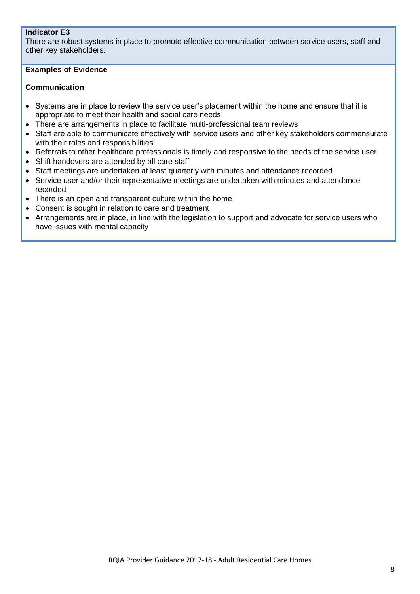### **Indicator E3**

There are robust systems in place to promote effective communication between service users, staff and other key stakeholders.

### **Examples of Evidence**

### **Communication**

- Systems are in place to review the service user's placement within the home and ensure that it is appropriate to meet their health and social care needs
- There are arrangements in place to facilitate multi-professional team reviews
- Staff are able to communicate effectively with service users and other key stakeholders commensurate with their roles and responsibilities
- Referrals to other healthcare professionals is timely and responsive to the needs of the service user
- Shift handovers are attended by all care staff
- Staff meetings are undertaken at least quarterly with minutes and attendance recorded
- Service user and/or their representative meetings are undertaken with minutes and attendance recorded
- There is an open and transparent culture within the home
- Consent is sought in relation to care and treatment
- Arrangements are in place, in line with the legislation to support and advocate for service users who have issues with mental capacity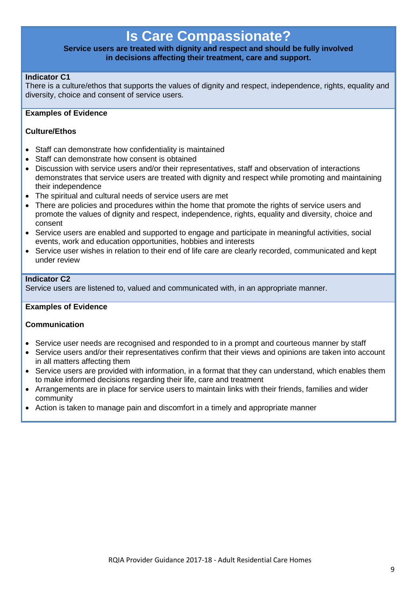### **Is Care Compassionate?**

### **Service users are treated with dignity and respect and should be fully involved in decisions affecting their treatment, care and support.**

### **Indicator C1**

There is a culture/ethos that supports the values of dignity and respect, independence, rights, equality and diversity, choice and consent of service users.

### **Examples of Evidence**

### **Culture/Ethos**

- Staff can demonstrate how confidentiality is maintained
- Staff can demonstrate how consent is obtained
- Discussion with service users and/or their representatives, staff and observation of interactions demonstrates that service users are treated with dignity and respect while promoting and maintaining their independence
- The spiritual and cultural needs of service users are met
- There are policies and procedures within the home that promote the rights of service users and promote the values of dignity and respect, independence, rights, equality and diversity, choice and consent
- Service users are enabled and supported to engage and participate in meaningful activities, social events, work and education opportunities, hobbies and interests
- Service user wishes in relation to their end of life care are clearly recorded, communicated and kept under review

### **Indicator C2**

Service users are listened to, valued and communicated with, in an appropriate manner.

#### **Examples of Evidence**

### **Communication**

- Service user needs are recognised and responded to in a prompt and courteous manner by staff
- Service users and/or their representatives confirm that their views and opinions are taken into account in all matters affecting them
- Service users are provided with information, in a format that they can understand, which enables them to make informed decisions regarding their life, care and treatment
- Arrangements are in place for service users to maintain links with their friends, families and wider community
- Action is taken to manage pain and discomfort in a timely and appropriate manner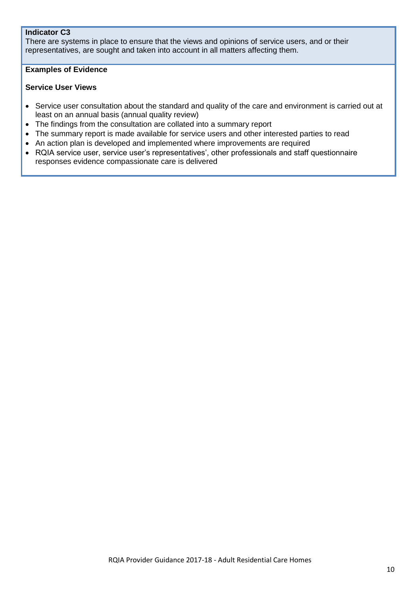### **Indicator C3**

There are systems in place to ensure that the views and opinions of service users, and or their representatives, are sought and taken into account in all matters affecting them.

### **Examples of Evidence**

### **Service User Views**

- Service user consultation about the standard and quality of the care and environment is carried out at least on an annual basis (annual quality review)
- The findings from the consultation are collated into a summary report
- The summary report is made available for service users and other interested parties to read
- An action plan is developed and implemented where improvements are required
- RQIA service user, service user's representatives', other professionals and staff questionnaire responses evidence compassionate care is delivered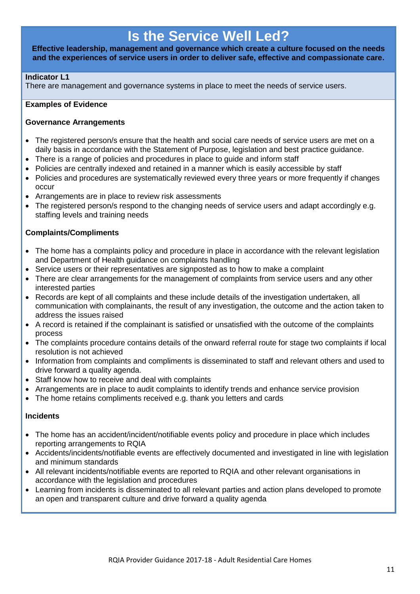### **Is the Service Well Led?**

**Effective leadership, management and governance which create a culture focused on the needs and the experiences of service users in order to deliver safe, effective and compassionate care.**

### **Indicator L1**

There are management and governance systems in place to meet the needs of service users.

### **Examples of Evidence**

### **Governance Arrangements**

- The registered person/s ensure that the health and social care needs of service users are met on a daily basis in accordance with the Statement of Purpose, legislation and best practice guidance.
- There is a range of policies and procedures in place to guide and inform staff
- Policies are centrally indexed and retained in a manner which is easily accessible by staff
- Policies and procedures are systematically reviewed every three years or more frequently if changes occur
- Arrangements are in place to review risk assessments
- The registered person/s respond to the changing needs of service users and adapt accordingly e.g. staffing levels and training needs

### **Complaints/Compliments**

- The home has a complaints policy and procedure in place in accordance with the relevant legislation and Department of Health guidance on complaints handling
- Service users or their representatives are signposted as to how to make a complaint
- There are clear arrangements for the management of complaints from service users and any other interested parties
- Records are kept of all complaints and these include details of the investigation undertaken, all communication with complainants, the result of any investigation, the outcome and the action taken to address the issues raised
- A record is retained if the complainant is satisfied or unsatisfied with the outcome of the complaints process
- The complaints procedure contains details of the onward referral route for stage two complaints if local resolution is not achieved
- Information from complaints and compliments is disseminated to staff and relevant others and used to drive forward a quality agenda.
- Staff know how to receive and deal with complaints
- Arrangements are in place to audit complaints to identify trends and enhance service provision
- The home retains compliments received e.g. thank you letters and cards

### **Incidents**

- The home has an accident/incident/notifiable events policy and procedure in place which includes reporting arrangements to RQIA
- Accidents/incidents/notifiable events are effectively documented and investigated in line with legislation and minimum standards
- All relevant incidents/notifiable events are reported to RQIA and other relevant organisations in accordance with the legislation and procedures
- Learning from incidents is disseminated to all relevant parties and action plans developed to promote an open and transparent culture and drive forward a quality agenda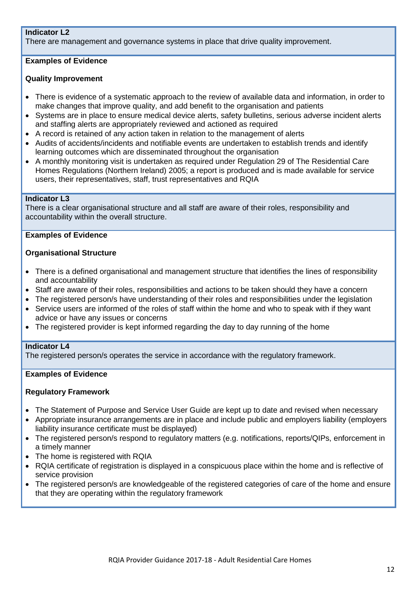### **Indicator L2**

There are management and governance systems in place that drive quality improvement.

### **Examples of Evidence**

### **Quality Improvement**

- There is evidence of a systematic approach to the review of available data and information, in order to make changes that improve quality, and add benefit to the organisation and patients
- Systems are in place to ensure medical device alerts, safety bulletins, serious adverse incident alerts and staffing alerts are appropriately reviewed and actioned as required
- A record is retained of any action taken in relation to the management of alerts
- Audits of accidents/incidents and notifiable events are undertaken to establish trends and identify learning outcomes which are disseminated throughout the organisation
- A monthly monitoring visit is undertaken as required under Regulation 29 of The Residential Care Homes Regulations (Northern Ireland) 2005; a report is produced and is made available for service users, their representatives, staff, trust representatives and RQIA

### **Indicator L3**

There is a clear organisational structure and all staff are aware of their roles, responsibility and accountability within the overall structure.

### **Examples of Evidence**

### **Organisational Structure**

- There is a defined organisational and management structure that identifies the lines of responsibility and accountability
- Staff are aware of their roles, responsibilities and actions to be taken should they have a concern
- The registered person/s have understanding of their roles and responsibilities under the legislation
- Service users are informed of the roles of staff within the home and who to speak with if they want advice or have any issues or concerns
- The registered provider is kept informed regarding the day to day running of the home

#### **Indicator L4**

The registered person/s operates the service in accordance with the regulatory framework.

### **Examples of Evidence**

#### **Regulatory Framework**

- The Statement of Purpose and Service User Guide are kept up to date and revised when necessary
- Appropriate insurance arrangements are in place and include public and employers liability (employers liability insurance certificate must be displayed)
- The registered person/s respond to regulatory matters (e.g. notifications, reports/QIPs, enforcement in a timely manner
- The home is registered with RQIA
- RQIA certificate of registration is displayed in a conspicuous place within the home and is reflective of service provision
- The registered person/s are knowledgeable of the registered categories of care of the home and ensure that they are operating within the regulatory framework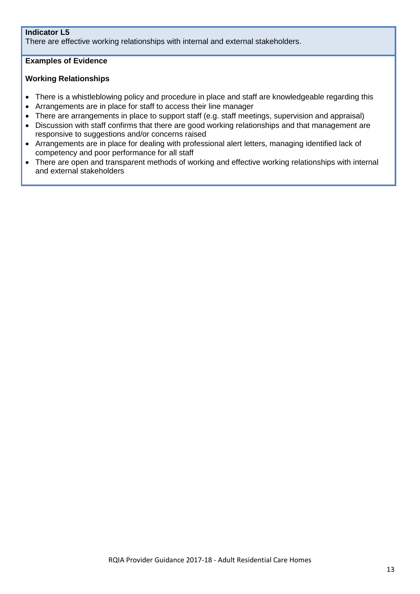### **Indicator L5**

There are effective working relationships with internal and external stakeholders.

### **Examples of Evidence**

### **Working Relationships**

- There is a whistleblowing policy and procedure in place and staff are knowledgeable regarding this
- Arrangements are in place for staff to access their line manager
- There are arrangements in place to support staff (e.g. staff meetings, supervision and appraisal)
- Discussion with staff confirms that there are good working relationships and that management are responsive to suggestions and/or concerns raised
- Arrangements are in place for dealing with professional alert letters, managing identified lack of competency and poor performance for all staff
- There are open and transparent methods of working and effective working relationships with internal and external stakeholders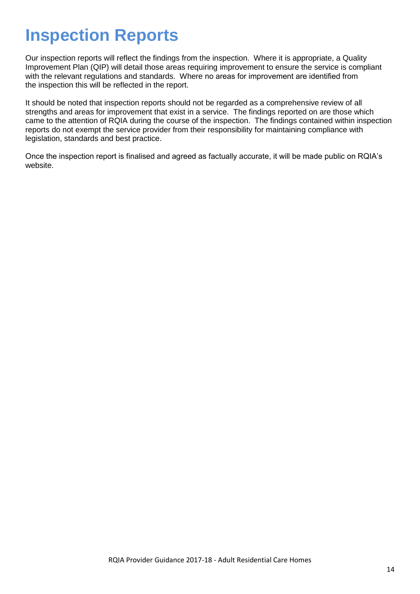## **Inspection Reports**

Our inspection reports will reflect the findings from the inspection. Where it is appropriate, a Quality Improvement Plan (QIP) will detail those areas requiring improvement to ensure the service is compliant with the relevant regulations and standards. Where no areas for improvement are identified from the inspection this will be reflected in the report.

It should be noted that inspection reports should not be regarded as a comprehensive review of all strengths and areas for improvement that exist in a service. The findings reported on are those which came to the attention of RQIA during the course of the inspection. The findings contained within inspection reports do not exempt the service provider from their responsibility for maintaining compliance with legislation, standards and best practice.

Once the inspection report is finalised and agreed as factually accurate, it will be made public on RQIA's website.